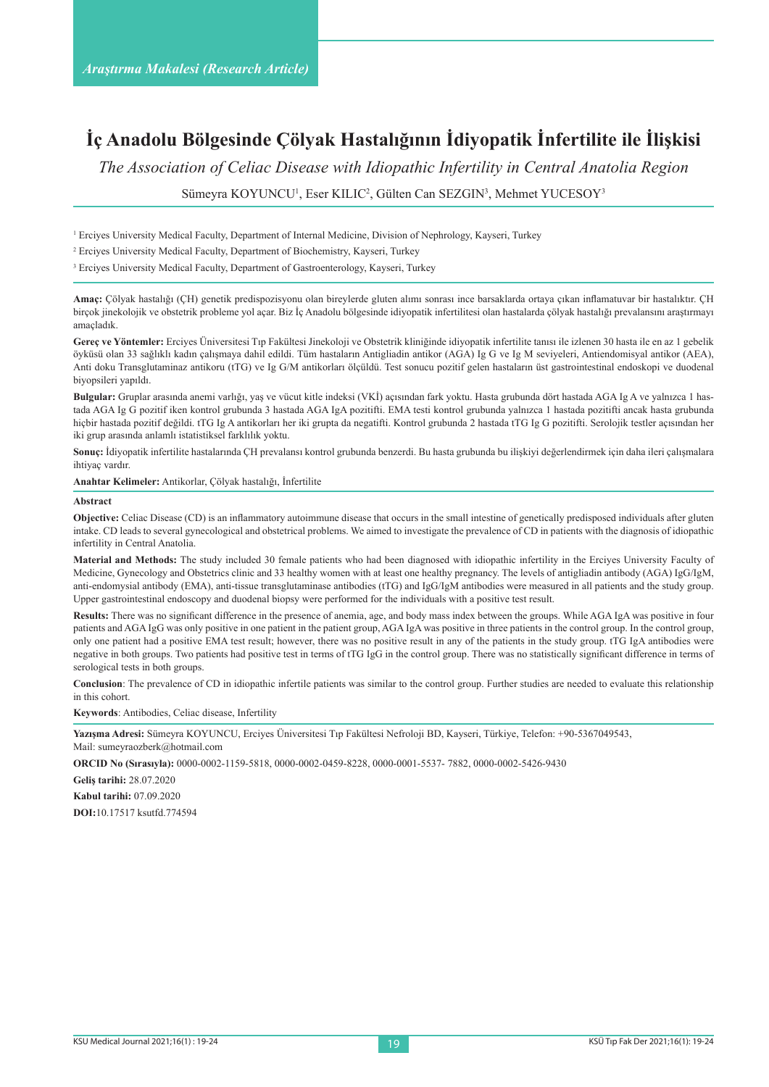# **İç Anadolu Bölgesinde Çölyak Hastalığının İdiyopatik İnfertilite ile İlişkisi**

*The Association of Celiac Disease with Idiopathic Infertility in Central Anatolia Region*

Sümeyra KOYUNCU<sup>1</sup>, Eser KILIC<sup>2</sup>, Gülten Can SEZGIN<sup>3</sup>, Mehmet YUCESOY<sup>3</sup>

1 Erciyes University Medical Faculty, Department of Internal Medicine, Division of Nephrology, Kayseri, Turkey

2 Erciyes University Medical Faculty, Department of Biochemistry, Kayseri, Turkey

<sup>3</sup> Erciyes University Medical Faculty, Department of Gastroenterology, Kayseri, Turkey

**Amaç:** Çölyak hastalığı (ÇH) genetik predispozisyonu olan bireylerde gluten alımı sonrası ince barsaklarda ortaya çıkan inflamatuvar bir hastalıktır. ÇH birçok jinekolojik ve obstetrik probleme yol açar. Biz İç Anadolu bölgesinde idiyopatik infertilitesi olan hastalarda çölyak hastalığı prevalansını araştırmayı amaçladık.

**Gereç ve Yöntemler:** Erciyes Üniversitesi Tıp Fakültesi Jinekoloji ve Obstetrik kliniğinde idiyopatik infertilite tanısı ile izlenen 30 hasta ile en az 1 gebelik öyküsü olan 33 sağlıklı kadın çalışmaya dahil edildi. Tüm hastaların Antigliadin antikor (AGA) Ig G ve Ig M seviyeleri, Antiendomisyal antikor (AEA), Anti doku Transglutaminaz antikoru (tTG) ve Ig G/M antikorları ölçüldü. Test sonucu pozitif gelen hastaların üst gastrointestinal endoskopi ve duodenal biyopsileri yapıldı.

**Bulgular:** Gruplar arasında anemi varlığı, yaş ve vücut kitle indeksi (VKİ) açısından fark yoktu. Hasta grubunda dört hastada AGA Ig A ve yalnızca 1 hastada AGA Ig G pozitif iken kontrol grubunda 3 hastada AGA IgA pozitifti. EMA testi kontrol grubunda yalnızca 1 hastada pozitifti ancak hasta grubunda hiçbir hastada pozitif değildi. tTG Ig A antikorları her iki grupta da negatifti. Kontrol grubunda 2 hastada tTG Ig G pozitifti. Serolojik testler açısından her iki grup arasında anlamlı istatistiksel farklılık yoktu.

**Sonuç:** İdiyopatik infertilite hastalarında ÇH prevalansı kontrol grubunda benzerdi. Bu hasta grubunda bu ilişkiyi değerlendirmek için daha ileri çalışmalara ihtiyaç vardır.

**Anahtar Kelimeler:** Antikorlar, Çölyak hastalığı, İnfertilite

#### **Abstract**

**Objective:** Celiac Disease (CD) is an inflammatory autoimmune disease that occurs in the small intestine of genetically predisposed individuals after gluten intake. CD leads to several gynecological and obstetrical problems. We aimed to investigate the prevalence of CD in patients with the diagnosis of idiopathic infertility in Central Anatolia.

**Material and Methods:** The study included 30 female patients who had been diagnosed with idiopathic infertility in the Erciyes University Faculty of Medicine, Gynecology and Obstetrics clinic and 33 healthy women with at least one healthy pregnancy. The levels of antigliadin antibody (AGA) IgG/IgM, anti-endomysial antibody (EMA), anti-tissue transglutaminase antibodies (tTG) and IgG/IgM antibodies were measured in all patients and the study group. Upper gastrointestinal endoscopy and duodenal biopsy were performed for the individuals with a positive test result.

**Results:** There was no significant difference in the presence of anemia, age, and body mass index between the groups. While AGA IgA was positive in four patients and AGA IgG was only positive in one patient in the patient group, AGA IgA was positive in three patients in the control group. In the control group, only one patient had a positive EMA test result; however, there was no positive result in any of the patients in the study group. tTG IgA antibodies were negative in both groups. Two patients had positive test in terms of tTG IgG in the control group. There was no statistically significant difference in terms of serological tests in both groups.

**Conclusion**: The prevalence of CD in idiopathic infertile patients was similar to the control group. Further studies are needed to evaluate this relationship in this cohort.

**Keywords**: Antibodies, Celiac disease, Infertility

**Yazışma Adresi:** Sümeyra KOYUNCU, Erciyes Üniversitesi Tıp Fakültesi Nefroloji BD, Kayseri, Türkiye, Telefon: +90-5367049543, Mail: sumeyraozberk@hotmail.com

**ORCID No (Sırasıyla):** 0000-0002-1159-5818, 0000-0002-0459-8228, 0000-0001-5537- 7882, 0000-0002-5426-9430

**Geliş tarihi:** 28.07.2020

**Kabul tarihi:** 07.09.2020

**DOI:**10.17517 ksutfd.774594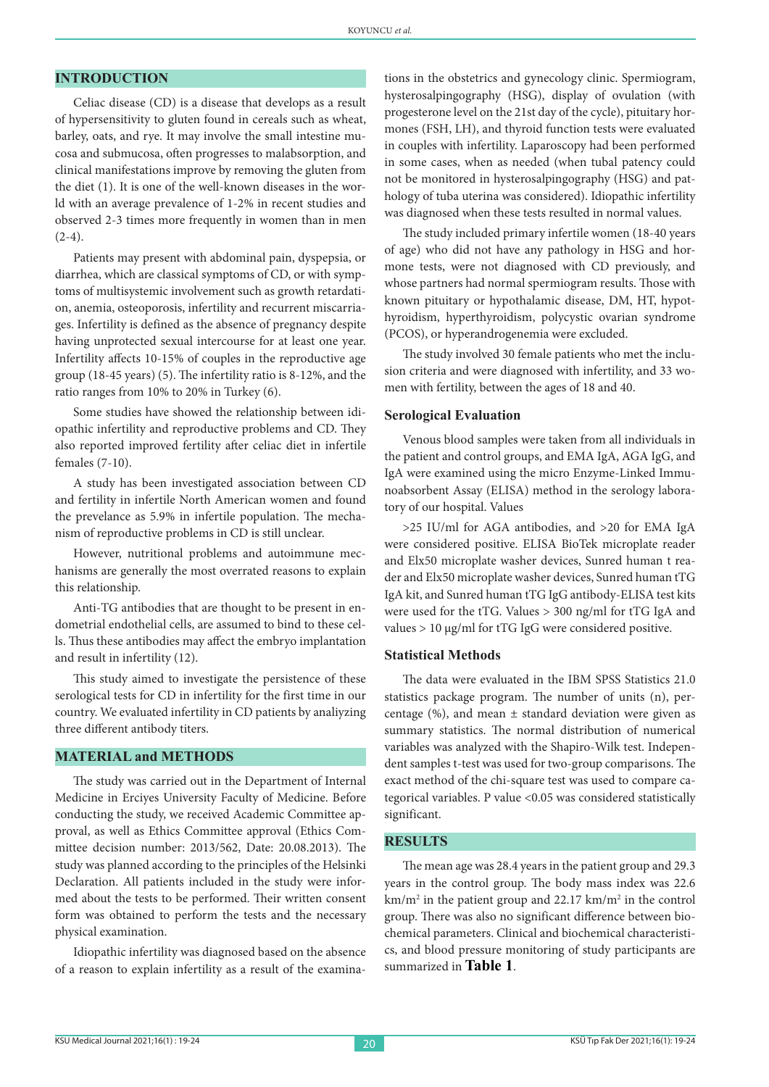## **INTRODUCTION**

Celiac disease (CD) is a disease that develops as a result of hypersensitivity to gluten found in cereals such as wheat, barley, oats, and rye. It may involve the small intestine mucosa and submucosa, often progresses to malabsorption, and clinical manifestations improve by removing the gluten from the diet (1). It is one of the well-known diseases in the world with an average prevalence of 1-2% in recent studies and observed 2-3 times more frequently in women than in men  $(2-4).$ 

Patients may present with abdominal pain, dyspepsia, or diarrhea, which are classical symptoms of CD, or with symptoms of multisystemic involvement such as growth retardation, anemia, osteoporosis, infertility and recurrent miscarriages. Infertility is defined as the absence of pregnancy despite having unprotected sexual intercourse for at least one year. Infertility affects 10-15% of couples in the reproductive age group (18-45 years) (5). The infertility ratio is 8-12%, and the ratio ranges from 10% to 20% in Turkey (6).

Some studies have showed the relationship between idiopathic infertility and reproductive problems and CD. They also reported improved fertility after celiac diet in infertile females (7-10).

A study has been investigated association between CD and fertility in infertile North American women and found the prevelance as 5.9% in infertile population. The mechanism of reproductive problems in CD is still unclear.

However, nutritional problems and autoimmune mechanisms are generally the most overrated reasons to explain this relationship.

Anti-TG antibodies that are thought to be present in endometrial endothelial cells, are assumed to bind to these cells. Thus these antibodies may affect the embryo implantation and result in infertility (12).

This study aimed to investigate the persistence of these serological tests for CD in infertility for the first time in our country. We evaluated infertility in CD patients by analiyzing three different antibody titers.

#### **MATERIAL and METHODS**

The study was carried out in the Department of Internal Medicine in Erciyes University Faculty of Medicine. Before conducting the study, we received Academic Committee approval, as well as Ethics Committee approval (Ethics Committee decision number: 2013/562, Date: 20.08.2013). The study was planned according to the principles of the Helsinki Declaration. All patients included in the study were informed about the tests to be performed. Their written consent form was obtained to perform the tests and the necessary physical examination.

Idiopathic infertility was diagnosed based on the absence of a reason to explain infertility as a result of the examinations in the obstetrics and gynecology clinic. Spermiogram, hysterosalpingography (HSG), display of ovulation (with progesterone level on the 21st day of the cycle), pituitary hormones (FSH, LH), and thyroid function tests were evaluated in couples with infertility. Laparoscopy had been performed in some cases, when as needed (when tubal patency could not be monitored in hysterosalpingography (HSG) and pathology of tuba uterina was considered). Idiopathic infertility was diagnosed when these tests resulted in normal values.

The study included primary infertile women (18-40 years of age) who did not have any pathology in HSG and hormone tests, were not diagnosed with CD previously, and whose partners had normal spermiogram results. Those with known pituitary or hypothalamic disease, DM, HT, hypothyroidism, hyperthyroidism, polycystic ovarian syndrome (PCOS), or hyperandrogenemia were excluded.

The study involved 30 female patients who met the inclusion criteria and were diagnosed with infertility, and 33 women with fertility, between the ages of 18 and 40.

#### **Serological Evaluation**

Venous blood samples were taken from all individuals in the patient and control groups, and EMA IgA, AGA IgG, and IgA were examined using the micro Enzyme-Linked Immunoabsorbent Assay (ELISA) method in the serology laboratory of our hospital. Values

>25 IU/ml for AGA antibodies, and >20 for EMA IgA were considered positive. ELISA BioTek microplate reader and Elx50 microplate washer devices, Sunred human t reader and Elx50 microplate washer devices, Sunred human tTG IgA kit, and Sunred human tTG IgG antibody-ELISA test kits were used for the tTG. Values > 300 ng/ml for tTG IgA and values > 10 µg/ml for tTG IgG were considered positive.

#### **Statistical Methods**

The data were evaluated in the IBM SPSS Statistics 21.0 statistics package program. The number of units (n), percentage  $(\%)$ , and mean  $\pm$  standard deviation were given as summary statistics. The normal distribution of numerical variables was analyzed with the Shapiro-Wilk test. Independent samples t-test was used for two-group comparisons. The exact method of the chi-square test was used to compare categorical variables. P value <0.05 was considered statistically significant.

### **RESULTS**

The mean age was 28.4 years in the patient group and 29.3 years in the control group. The body mass index was 22.6 km/m2 in the patient group and 22.17 km/m2 in the control group. There was also no significant difference between biochemical parameters. Clinical and biochemical characteristics, and blood pressure monitoring of study participants are summarized in **Table 1**.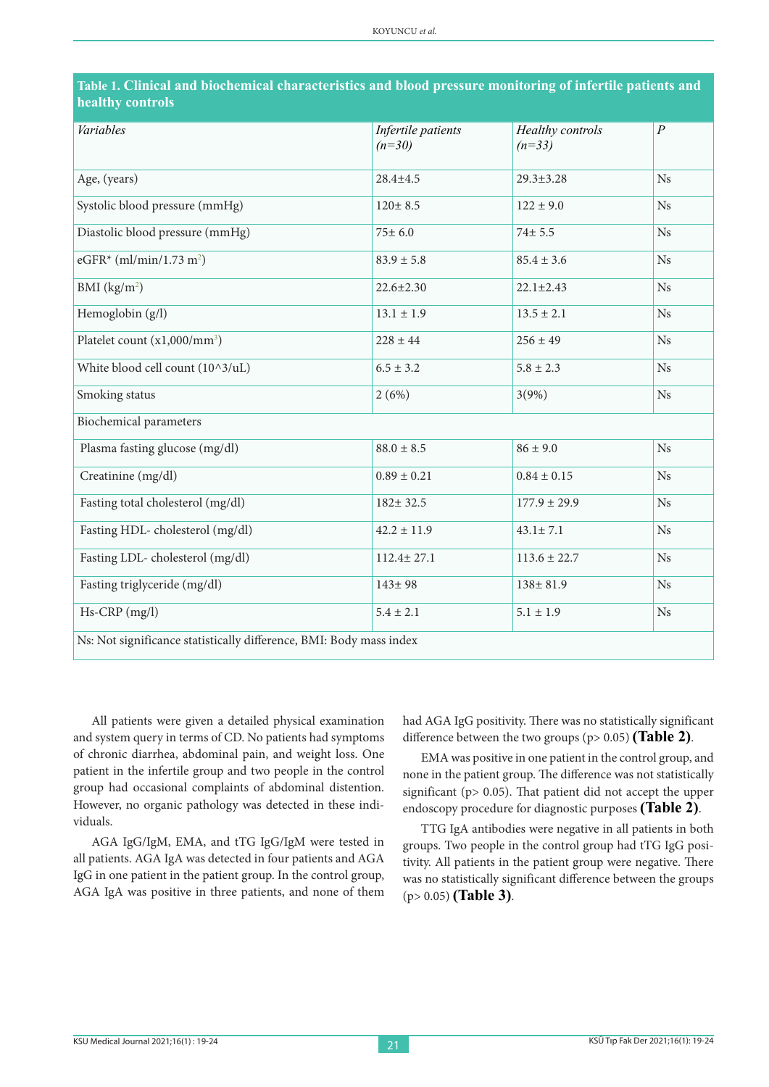| Variables                                                           | Infertile patients | Healthy controls | $\overline{P}$   |  |  |  |  |
|---------------------------------------------------------------------|--------------------|------------------|------------------|--|--|--|--|
|                                                                     | $(n=30)$           | $(n=33)$         |                  |  |  |  |  |
|                                                                     |                    |                  |                  |  |  |  |  |
| Age, (years)                                                        | $28.4 \pm 4.5$     | $29.3 \pm 3.28$  | Ns               |  |  |  |  |
| Systolic blood pressure (mmHg)                                      | $120 \pm 8.5$      | $122 \pm 9.0$    | Ns               |  |  |  |  |
|                                                                     |                    |                  |                  |  |  |  |  |
| Diastolic blood pressure (mmHg)                                     | $75 \pm 6.0$       | $74 \pm 5.5$     | Ns               |  |  |  |  |
| eGFR* (ml/min/1.73 m <sup>2</sup> )                                 | $83.9 \pm 5.8$     | $85.4 \pm 3.6$   | $_{\mathrm{Ns}}$ |  |  |  |  |
|                                                                     |                    |                  |                  |  |  |  |  |
| BMI $(kg/m2)$                                                       | $22.6 \pm 2.30$    | $22.1 \pm 2.43$  | Ns               |  |  |  |  |
| Hemoglobin (g/l)                                                    | $13.1 \pm 1.9$     | $13.5 \pm 2.1$   | Ns               |  |  |  |  |
|                                                                     |                    |                  |                  |  |  |  |  |
| Platelet count (x1,000/mm <sup>3</sup> )                            | $228 \pm 44$       | $256 \pm 49$     | Ns               |  |  |  |  |
| White blood cell count (10^3/uL)                                    | $6.5 \pm 3.2$      | $5.8 \pm 2.3$    | Ns               |  |  |  |  |
|                                                                     |                    |                  |                  |  |  |  |  |
| Smoking status                                                      | 2(6%)              | 3(9%)            | Ns               |  |  |  |  |
| Biochemical parameters                                              |                    |                  |                  |  |  |  |  |
|                                                                     |                    |                  |                  |  |  |  |  |
| Plasma fasting glucose (mg/dl)                                      | $88.0 \pm 8.5$     | $86 \pm 9.0$     | Ns               |  |  |  |  |
| Creatinine (mg/dl)                                                  | $0.89 \pm 0.21$    | $0.84 \pm 0.15$  | Ns               |  |  |  |  |
|                                                                     |                    |                  |                  |  |  |  |  |
| Fasting total cholesterol (mg/dl)                                   | $182 \pm 32.5$     | $177.9 \pm 29.9$ | Ns               |  |  |  |  |
| Fasting HDL-cholesterol (mg/dl)                                     | $42.2 \pm 11.9$    | $43.1 \pm 7.1$   | Ns               |  |  |  |  |
|                                                                     |                    |                  |                  |  |  |  |  |
| Fasting LDL-cholesterol (mg/dl)                                     | $112.4 \pm 27.1$   | $113.6 \pm 22.7$ | Ns               |  |  |  |  |
|                                                                     |                    |                  |                  |  |  |  |  |
| Fasting triglyceride (mg/dl)                                        | $143 \pm 98$       | $138 + 81.9$     | Ns               |  |  |  |  |
| Hs-CRP (mg/l)                                                       | $5.4 \pm 2.1$      | $5.1 \pm 1.9$    | $_{\mathrm{Ns}}$ |  |  |  |  |
|                                                                     |                    |                  |                  |  |  |  |  |
| Ns: Not significance statistically difference, BMI: Body mass index |                    |                  |                  |  |  |  |  |

|                  | Table 1. Clinical and biochemical characteristics and blood pressure monitoring of infertile patients and |
|------------------|-----------------------------------------------------------------------------------------------------------|
| healthy controls |                                                                                                           |

All patients were given a detailed physical examination and system query in terms of CD. No patients had symptoms of chronic diarrhea, abdominal pain, and weight loss. One patient in the infertile group and two people in the control group had occasional complaints of abdominal distention. However, no organic pathology was detected in these individuals.

AGA IgG/IgM, EMA, and tTG IgG/IgM were tested in all patients. AGA IgA was detected in four patients and AGA IgG in one patient in the patient group. In the control group, AGA IgA was positive in three patients, and none of them had AGA IgG positivity. There was no statistically significant difference between the two groups (p> 0.05) **(Table 2)**.

EMA was positive in one patient in the control group, and none in the patient group. The difference was not statistically significant (p> 0.05). That patient did not accept the upper endoscopy procedure for diagnostic purposes **(Table 2)**.

TTG IgA antibodies were negative in all patients in both groups. Two people in the control group had tTG IgG positivity. All patients in the patient group were negative. There was no statistically significant difference between the groups (p> 0.05) **(Table 3)**.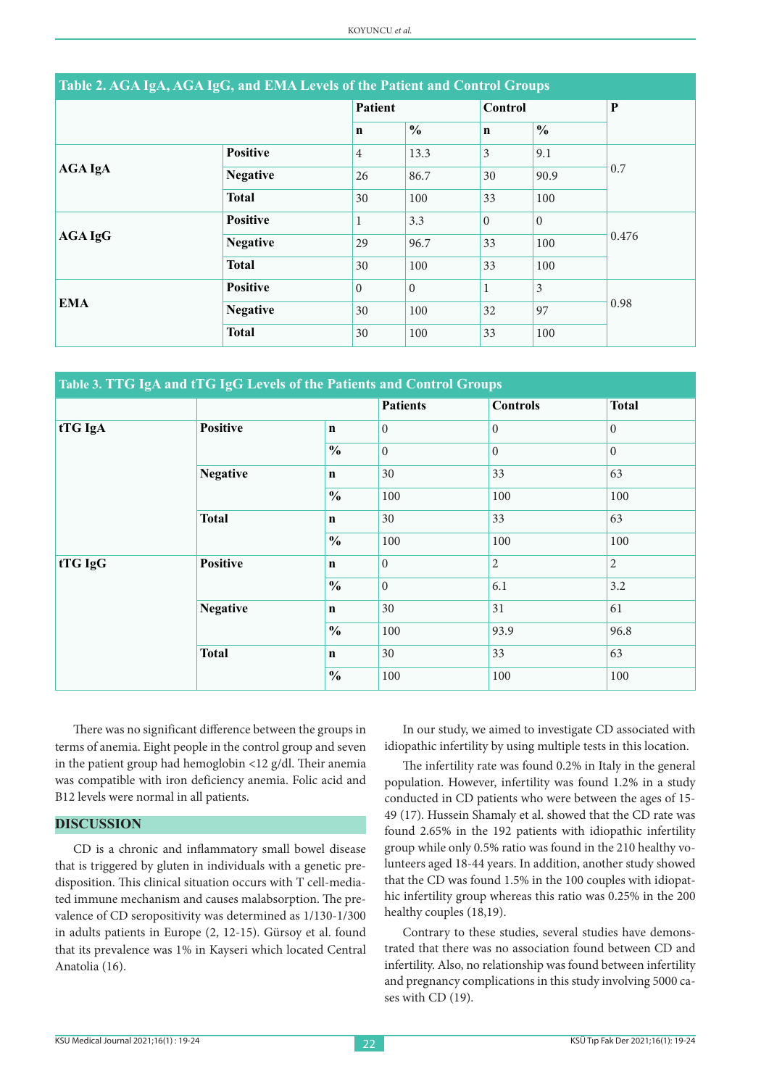| Table 2. AGA IgA, AGA IgG, and EMA Levels of the Patient and Control Groups |                 |                |                |              |               |       |
|-----------------------------------------------------------------------------|-----------------|----------------|----------------|--------------|---------------|-------|
|                                                                             |                 | <b>Patient</b> |                | Control      |               | P     |
|                                                                             |                 | $\mathbf n$    | $\frac{6}{9}$  | $\mathbf n$  | $\frac{0}{0}$ |       |
|                                                                             | <b>Positive</b> | $\overline{4}$ | 13.3           | 3            | 9.1           | 0.7   |
| <b>AGA IgA</b>                                                              | <b>Negative</b> | 26             | 86.7           | 30           | 90.9          |       |
|                                                                             | <b>Total</b>    | 30             | 100            | 33           | 100           |       |
|                                                                             | <b>Positive</b> | 1              | 3.3            | $\Omega$     | $\Omega$      | 0.476 |
| <b>AGA IgG</b>                                                              | <b>Negative</b> | 29             | 96.7           | 33           | 100           |       |
|                                                                             | <b>Total</b>    | 30             | 100            | 33           | 100           |       |
|                                                                             | <b>Positive</b> | $\Omega$       | $\overline{0}$ | $\mathbf{1}$ | 3             | 0.98  |
| <b>EMA</b>                                                                  | <b>Negative</b> | 30             | 100            | 32           | 97            |       |
|                                                                             | <b>Total</b>    | 30             | 100            | 33           | 100           |       |

| Table 3. TTG IgA and tTG IgG Levels of the Patients and Control Groups |                 |               |                 |                 |                |  |
|------------------------------------------------------------------------|-----------------|---------------|-----------------|-----------------|----------------|--|
|                                                                        |                 |               | <b>Patients</b> | <b>Controls</b> | <b>Total</b>   |  |
| tTG IgA                                                                | <b>Positive</b> | $\mathbf n$   | $\overline{0}$  | $\overline{0}$  | $\overline{0}$ |  |
|                                                                        |                 | $\frac{0}{0}$ | $\Omega$        | $\Omega$        | $\overline{0}$ |  |
|                                                                        | <b>Negative</b> | $\mathbf n$   | 30              | 33              | 63             |  |
|                                                                        |                 | $\frac{0}{0}$ | 100             | 100             | 100            |  |
|                                                                        | <b>Total</b>    | $\mathbf n$   | 30              | 33              | 63             |  |
|                                                                        |                 | $\frac{0}{0}$ | 100             | 100             | 100            |  |
| tTG IgG                                                                | <b>Positive</b> | $\mathbf n$   | $\Omega$        | $\overline{2}$  | 2              |  |
|                                                                        |                 | $\frac{0}{0}$ | $\Omega$        | 6.1             | 3.2            |  |
|                                                                        | <b>Negative</b> | $\mathbf n$   | 30              | 31              | 61             |  |
|                                                                        |                 | $\frac{0}{0}$ | 100             | 93.9            | 96.8           |  |
|                                                                        | <b>Total</b>    | $\mathbf n$   | 30              | 33              | 63             |  |
|                                                                        |                 | $\frac{0}{0}$ | 100             | 100             | 100            |  |

There was no significant difference between the groups in terms of anemia. Eight people in the control group and seven in the patient group had hemoglobin <12 g/dl. Their anemia was compatible with iron deficiency anemia. Folic acid and B12 levels were normal in all patients.

#### **DISCUSSION**

CD is a chronic and inflammatory small bowel disease that is triggered by gluten in individuals with a genetic predisposition. This clinical situation occurs with T cell-mediated immune mechanism and causes malabsorption. The prevalence of CD seropositivity was determined as 1/130-1/300 in adults patients in Europe (2, 12-15). Gürsoy et al. found that its prevalence was 1% in Kayseri which located Central Anatolia (16).

In our study, we aimed to investigate CD associated with idiopathic infertility by using multiple tests in this location.

The infertility rate was found 0.2% in Italy in the general population. However, infertility was found 1.2% in a study conducted in CD patients who were between the ages of 15- 49 (17). Hussein Shamaly et al. showed that the CD rate was found 2.65% in the 192 patients with idiopathic infertility group while only 0.5% ratio was found in the 210 healthy volunteers aged 18-44 years. In addition, another study showed that the CD was found 1.5% in the 100 couples with idiopathic infertility group whereas this ratio was 0.25% in the 200 healthy couples (18,19).

Contrary to these studies, several studies have demonstrated that there was no association found between CD and infertility. Also, no relationship was found between infertility and pregnancy complications in this study involving 5000 cases with CD (19).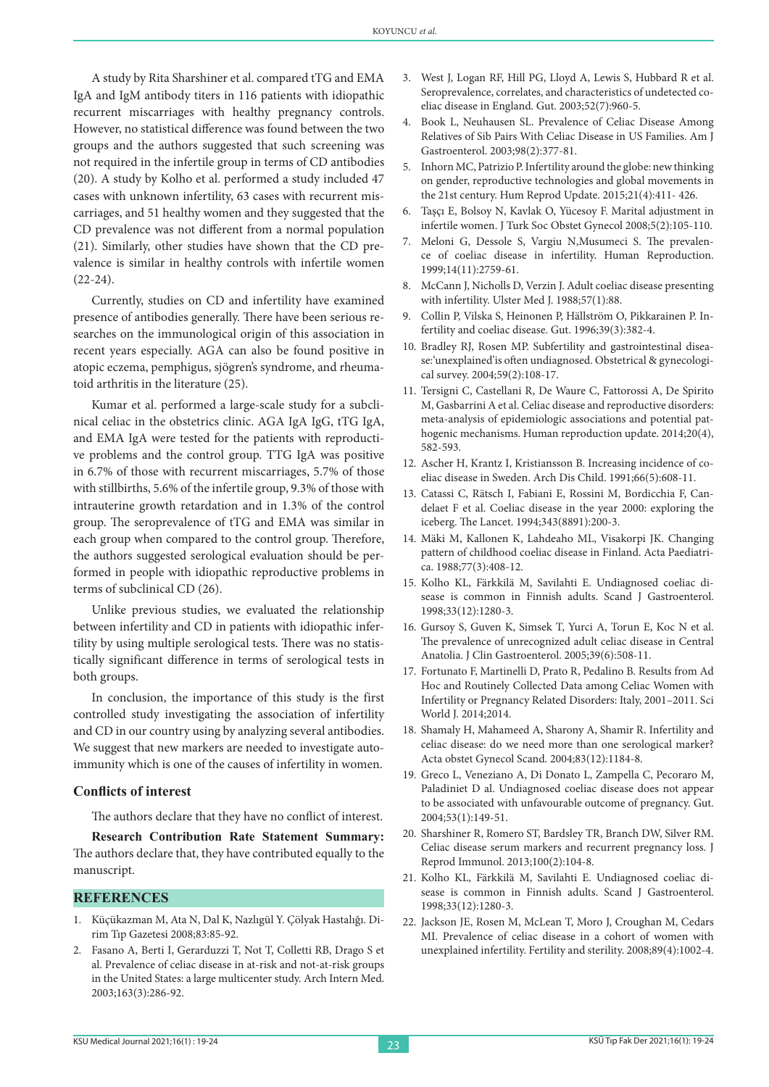A study by Rita Sharshiner et al. compared tTG and EMA IgA and IgM antibody titers in 116 patients with idiopathic recurrent miscarriages with healthy pregnancy controls. However, no statistical difference was found between the two groups and the authors suggested that such screening was not required in the infertile group in terms of CD antibodies (20). A study by Kolho et al. performed a study included 47 cases with unknown infertility, 63 cases with recurrent miscarriages, and 51 healthy women and they suggested that the CD prevalence was not different from a normal population (21). Similarly, other studies have shown that the CD prevalence is similar in healthy controls with infertile women (22-24).

Currently, studies on CD and infertility have examined presence of antibodies generally. There have been serious researches on the immunological origin of this association in recent years especially. AGA can also be found positive in atopic eczema, pemphigus, sjögren's syndrome, and rheumatoid arthritis in the literature (25).

Kumar et al. performed a large-scale study for a subclinical celiac in the obstetrics clinic. AGA IgA IgG, tTG IgA, and EMA IgA were tested for the patients with reproductive problems and the control group. TTG IgA was positive in 6.7% of those with recurrent miscarriages, 5.7% of those with stillbirths, 5.6% of the infertile group, 9.3% of those with intrauterine growth retardation and in 1.3% of the control group. The seroprevalence of tTG and EMA was similar in each group when compared to the control group. Therefore, the authors suggested serological evaluation should be performed in people with idiopathic reproductive problems in terms of subclinical CD (26).

Unlike previous studies, we evaluated the relationship between infertility and CD in patients with idiopathic infertility by using multiple serological tests. There was no statistically significant difference in terms of serological tests in both groups.

In conclusion, the importance of this study is the first controlled study investigating the association of infertility and CD in our country using by analyzing several antibodies. We suggest that new markers are needed to investigate autoimmunity which is one of the causes of infertility in women.

#### **Conflicts of interest**

The authors declare that they have no conflict of interest.

**Research Contribution Rate Statement Summary:**  The authors declare that, they have contributed equally to the manuscript.

#### **REFERENCES**

- 1. Küçükazman M, Ata N, Dal K, Nazlıgül Y. Çölyak Hastalığı. Dirim Tıp Gazetesi 2008;83:85-92.
- 2. Fasano A, Berti I, Gerarduzzi T, Not T, Colletti RB, Drago S et al. Prevalence of celiac disease in at-risk and not-at-risk groups in the United States: a large multicenter study. Arch Intern Med. 2003;163(3):286-92.
- 3. West J, Logan RF, Hill PG, Lloyd A, Lewis S, Hubbard R et al. Seroprevalence, correlates, and characteristics of undetected coeliac disease in England. Gut. 2003;52(7):960-5.
- 4. Book L, Neuhausen SL. Prevalence of Celiac Disease Among Relatives of Sib Pairs With Celiac Disease in US Families. Am J Gastroenterol. 2003;98(2):377-81.
- 5. Inhorn MC, Patrizio P. Infertility around the globe: new thinking on gender, reproductive technologies and global movements in the 21st century. Hum Reprod Update. 2015;21(4):411- 426.
- 6. Taşçı E, Bolsoy N, Kavlak O, Yücesoy F. Marital adjustment in infertile women. J Turk Soc Obstet Gynecol 2008;5(2):105-110.
- 7. Meloni G, Dessole S, Vargiu N,Musumeci S. The prevalence of coeliac disease in infertility. Human Reproduction. 1999;14(11):2759-61.
- 8. McCann J, Nicholls D, Verzin J. Adult coeliac disease presenting with infertility. Ulster Med J. 1988;57(1):88.
- 9. Collin P, Vilska S, Heinonen P, Hällström O, Pikkarainen P. Infertility and coeliac disease. Gut. 1996;39(3):382-4.
- 10. Bradley RJ, Rosen MP. Subfertility and gastrointestinal disease:'unexplained'is often undiagnosed. Obstetrical & gynecological survey. 2004;59(2):108-17.
- 11. Tersigni C, Castellani R, De Waure C, Fattorossi A, De Spirito M, Gasbarrini A et al. Celiac disease and reproductive disorders: meta-analysis of epidemiologic associations and potential pathogenic mechanisms. Human reproduction update. 2014;20(4), 582-593.
- 12. Ascher H, Krantz I, Kristiansson B. Increasing incidence of coeliac disease in Sweden. Arch Dis Child. 1991;66(5):608-11.
- 13. Catassi C, Rätsch I, Fabiani E, Rossini M, Bordicchia F, Candelaet F et al. Coeliac disease in the year 2000: exploring the iceberg. The Lancet. 1994;343(8891):200-3.
- 14. Mäki M, Kallonen K, Lahdeaho ML, Visakorpi JK. Changing pattern of childhood coeliac disease in Finland. Acta Paediatrica. 1988;77(3):408-12.
- 15. Kolho KL, Färkkilä M, Savilahti E. Undiagnosed coeliac disease is common in Finnish adults. Scand J Gastroenterol. 1998;33(12):1280-3.
- 16. Gursoy S, Guven K, Simsek T, Yurci A, Torun E, Koc N et al. The prevalence of unrecognized adult celiac disease in Central Anatolia. J Clin Gastroenterol. 2005;39(6):508-11.
- 17. Fortunato F, Martinelli D, Prato R, Pedalino B. Results from Ad Hoc and Routinely Collected Data among Celiac Women with Infertility or Pregnancy Related Disorders: Italy, 2001–2011. Sci World J. 2014;2014.
- 18. Shamaly H, Mahameed A, Sharony A, Shamir R. Infertility and celiac disease: do we need more than one serological marker? Acta obstet Gynecol Scand. 2004;83(12):1184-8.
- 19. Greco L, Veneziano A, Di Donato L, Zampella C, Pecoraro M, Paladiniet D al. Undiagnosed coeliac disease does not appear to be associated with unfavourable outcome of pregnancy. Gut. 2004;53(1):149-51.
- 20. Sharshiner R, Romero ST, Bardsley TR, Branch DW, Silver RM. Celiac disease serum markers and recurrent pregnancy loss. J Reprod Immunol. 2013;100(2):104-8.
- 21. Kolho KL, Färkkilä M, Savilahti E. Undiagnosed coeliac disease is common in Finnish adults. Scand J Gastroenterol. 1998;33(12):1280-3.
- 22. Jackson JE, Rosen M, McLean T, Moro J, Croughan M, Cedars MI. Prevalence of celiac disease in a cohort of women with unexplained infertility. Fertility and sterility. 2008;89(4):1002-4.